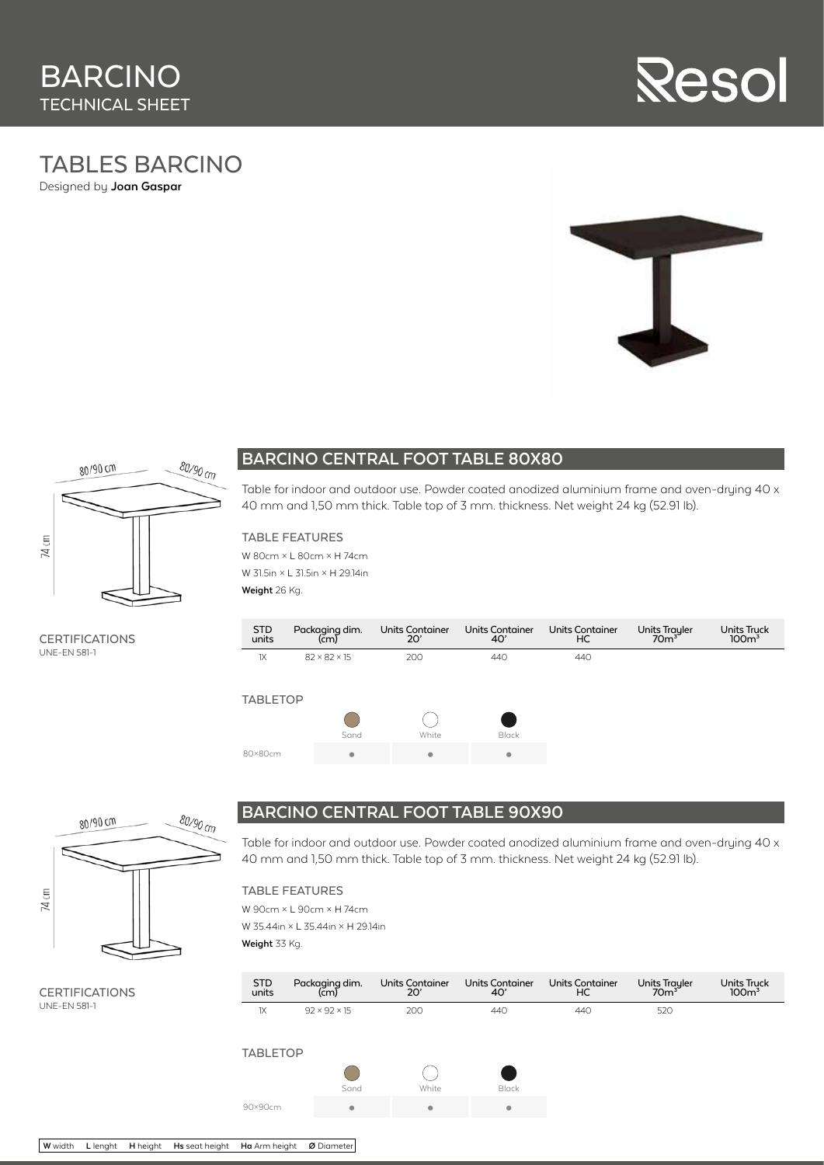

## TABLES BARCINO Designed by **Joan Gaspar**



## **BARCINO CENTRAL FOOT TABLE 80X80**

Table for indoor and outdoor use. Powder coated anodized aluminium frame and oven-drying 40 x 40 mm and 1,50 mm thick. Table top of 3 mm. thickness. Net weight 24 kg (52.91 lb).

#### TABLE FEATURES

W 80cm × L 80cm × H 74cm W 31.5in × L 31.5in × H 29.14in **Weight** 26 Kg.

**CERTIFICATIONS** UNE-EN 581-1

| <b>STD</b><br>units | Packaging dim.<br>(cm)   | <b>Units Container</b><br>20' | <b>Units Container</b><br>40' | <b>Units Container</b><br>НC | Units Trayler<br>70m <sup>3</sup> | Units Truck<br>100 <sup>3</sup> |
|---------------------|--------------------------|-------------------------------|-------------------------------|------------------------------|-----------------------------------|---------------------------------|
| 1X                  | $82 \times 82 \times 15$ | 200                           | 440                           | 440                          |                                   |                                 |
| <b>TABLETOP</b>     | Sand                     | White                         | <b>Black</b>                  |                              |                                   |                                 |
| 80×80cm             | ۰                        | ۰                             | ۰                             |                              |                                   |                                 |



**CERTIFICATIONS** UNE-EN 581-1

## **BARCINO CENTRAL FOOT TABLE 90X90**

Table for indoor and outdoor use. Powder coated anodized aluminium frame and oven-druing 40 x 40 mm and 1,50 mm thick. Table top of 3 mm. thickness. Net weight 24 kg (52.91 lb).

TABLE FEATURES

W 90cm × L 90cm × H 74cm W 35.44in × L 35.44in × H 29.14in **Weight** 33 Kg.

Units Trayler STD Packaging dim.<br>(cm) Units Container Units Container 20' Units Container 40' Units Truck<br>100m<sup>3</sup> units  $H<sub>C</sub>$  $1X$  92 × 92 × 15 200 440 440 520 TABLETOP  $\bigcirc$  $\bigcirc$ Sand White Black 90×90cm **• • •**

**W** width **L** lenght **H** height **Hs** seat height **Ha** Arm height **Ø** Diameter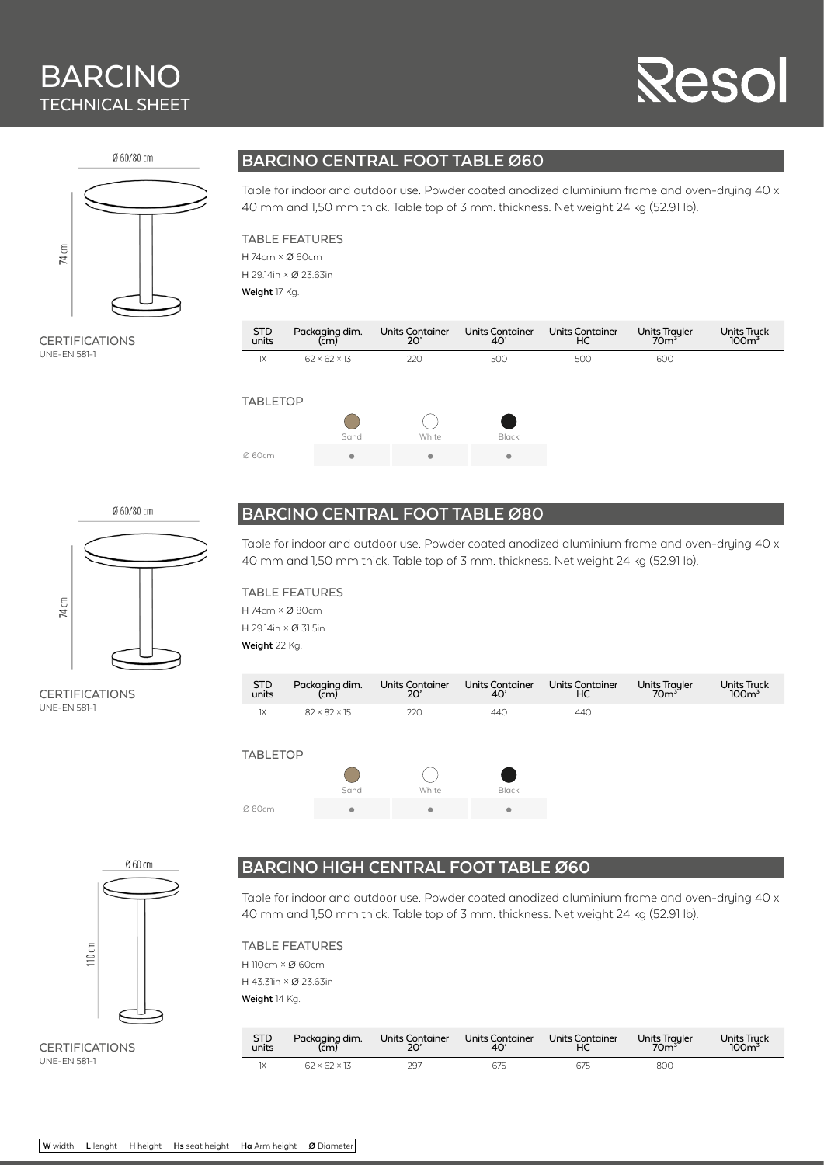# BARCINO TECHNICAL SHEET

# esc

Ø 60/80 cm



**CERTIFICATIONS** UNE-EN 581-1

# **BARCINO CENTRAL FOOT TABLE Ø60**

Table for indoor and outdoor use. Powder coated anodized aluminium frame and oven-druing 40 x 40 mm and 1,50 mm thick. Table top of 3 mm. thickness. Net weight 24 kg (52.91 lb).

#### TABLE FEATURES

H 74cm × Ø 60cm H 29.14in × Ø 23.63in **Weight** 17 Kg.

Units Trayler<br>70m<sup>3</sup> **STD** Packaging dim. (cm) Units Container 20' Units Container 40' Units Container HC Units Truck<br>100m<sup>3</sup> units  $1X$  62 × 62 × 13 220 500 500 500 600 TABLETOP  $\bigcap$  $\bigcirc$ Sand White Black Ø 60cm **• • •**

Ø 60/80 cm



**CERTIFICATIONS** UNE-EN 581-1

# **BARCINO CENTRAL FOOT TABLE Ø80**

Table for indoor and outdoor use. Powder coated anodized aluminium frame and oven-drying 40 x 40 mm and 1,50 mm thick. Table top of 3 mm. thickness. Net weight 24 kg (52.91 lb).

#### TABLE FEATURES

H 74cm × Ø 80cm H 29.14in × Ø 31.5in **Weight** 22 Kg.





CERTIFICATIONS UNE-EN 581-1

# **BARCINO HIGH CENTRAL FOOT TABLE Ø60**

Table for indoor and outdoor use. Powder coated anodized aluminium frame and oven-drying 40 x 40 mm and 1,50 mm thick. Table top of 3 mm. thickness. Net weight 24 kg (52.91 lb).

TABLE FEATURES H 110cm × Ø 60cm H 43.31in × Ø 23.63in **Weight** 14 Kg.

| <b>STD</b> | Packaging dim.           | Units Container | Units Container | Units Container | Units Trayler<br>70m <sup>3</sup> | <b>Units Truck</b> |
|------------|--------------------------|-----------------|-----------------|-----------------|-----------------------------------|--------------------|
| units      | $\overline{(cm)}$        | 20'             | 40'             | НC              |                                   | 100 <sup>3</sup>   |
| 1X         | $62 \times 62 \times 13$ | 297             | 675             | 675             | 800                               |                    |